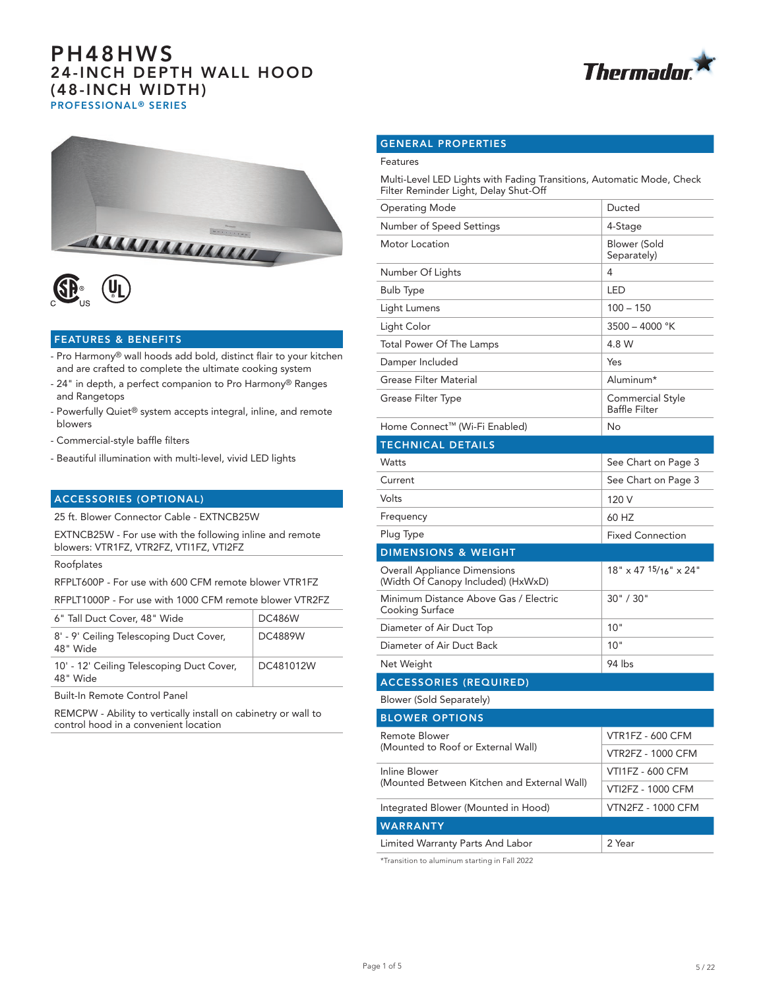



## FEATURES & BENEFITS

- Pro Harmony® wall hoods add bold, distinct flair to your kitchen and are crafted to complete the ultimate cooking system
- 24" in depth, a perfect companion to Pro Harmony® Ranges and Rangetops
- Powerfully Quiet® system accepts integral, inline, and remote blowers
- Commercial-style baffle filters
- Beautiful illumination with multi-level, vivid LED lights

## ACCESSORIES (OPTIONAL)

25 ft. Blower Connector Cable - EXTNCB25W

EXTNCB25W - For use with the following inline and remote blowers: VTR1FZ, VTR2FZ, VTI1FZ, VTI2FZ

#### Roofplates

RFPLT600P - For use with 600 CFM remote blower VTR1FZ

RFPLT1000P - For use with 1000 CFM remote blower VTR2FZ

| 6" Tall Duct Cover, 48" Wide                          | DC486W    |
|-------------------------------------------------------|-----------|
| 8' - 9' Ceiling Telescoping Duct Cover,<br>48" Wide   | DC4889W   |
| 10' - 12' Ceiling Telescoping Duct Cover,<br>48" Wide | DC481012W |
|                                                       |           |

Built-In Remote Control Panel

REMCPW - Ability to vertically install on cabinetry or wall to control hood in a convenient location

# GENERAL PROPERTIES

### Features

Multi-Level LED Lights with Fading Transitions, Automatic Mode, Check Filter Reminder Light, Delay Shut-Off

| Operating Mode                                                            | Ducted                                   |  |  |
|---------------------------------------------------------------------------|------------------------------------------|--|--|
| Number of Speed Settings                                                  | 4-Stage                                  |  |  |
| Motor Location                                                            | <b>Blower (Sold</b><br>Separately)       |  |  |
| Number Of Lights                                                          | 4                                        |  |  |
| <b>Bulb Type</b>                                                          | <b>LED</b>                               |  |  |
| Light Lumens                                                              | $100 - 150$                              |  |  |
| Light Color                                                               | 3500 - 4000 °K                           |  |  |
| Total Power Of The Lamps                                                  | 4.8 W                                    |  |  |
| Damper Included                                                           | Yes                                      |  |  |
| Grease Filter Material                                                    | Aluminum*                                |  |  |
| Grease Filter Type                                                        | Commercial Style<br><b>Baffle Filter</b> |  |  |
| Home Connect™ (Wi-Fi Enabled)                                             | No                                       |  |  |
| <b>TECHNICAL DETAILS</b>                                                  |                                          |  |  |
| <b>Watts</b>                                                              | See Chart on Page 3                      |  |  |
| Current                                                                   | See Chart on Page 3                      |  |  |
| Volts                                                                     | 120 V                                    |  |  |
| Frequency                                                                 | 60 HZ                                    |  |  |
| Plug Type                                                                 | <b>Fixed Connection</b>                  |  |  |
| <b>DIMENSIONS &amp; WEIGHT</b>                                            |                                          |  |  |
| <b>Overall Appliance Dimensions</b><br>(Width Of Canopy Included) (HxWxD) | $18" \times 47$ 15/16" $\times$ 24"      |  |  |
| Minimum Distance Above Gas / Electric<br>Cooking Surface                  | 30" / 30"                                |  |  |
| Diameter of Air Duct Top                                                  | 10"                                      |  |  |
| Diameter of Air Duct Back                                                 | 10"                                      |  |  |
| Net Weight                                                                | 94 lbs                                   |  |  |
| <b>ACCESSORIES (REQUIRED)</b>                                             |                                          |  |  |
| Blower (Sold Separately)                                                  |                                          |  |  |
| <b>BLOWER OPTIONS</b>                                                     |                                          |  |  |
| <b>Remote Blower</b>                                                      | <b>VTR1FZ - 600 CFM</b>                  |  |  |
| (Mounted to Roof or External Wall)                                        |                                          |  |  |
| Inline Blower                                                             | <b>VTR2FZ - 1000 CFM</b>                 |  |  |
|                                                                           | <b>VTI1FZ - 600 CFM</b>                  |  |  |
| (Mounted Between Kitchen and External Wall)                               | <b>VTI2FZ - 1000 CFM</b>                 |  |  |
| Integrated Blower (Mounted in Hood)                                       | <b>VTN2FZ - 1000 CFM</b>                 |  |  |
| <b>WARRANTY</b>                                                           |                                          |  |  |

\*Transition to aluminum starting in Fall 2022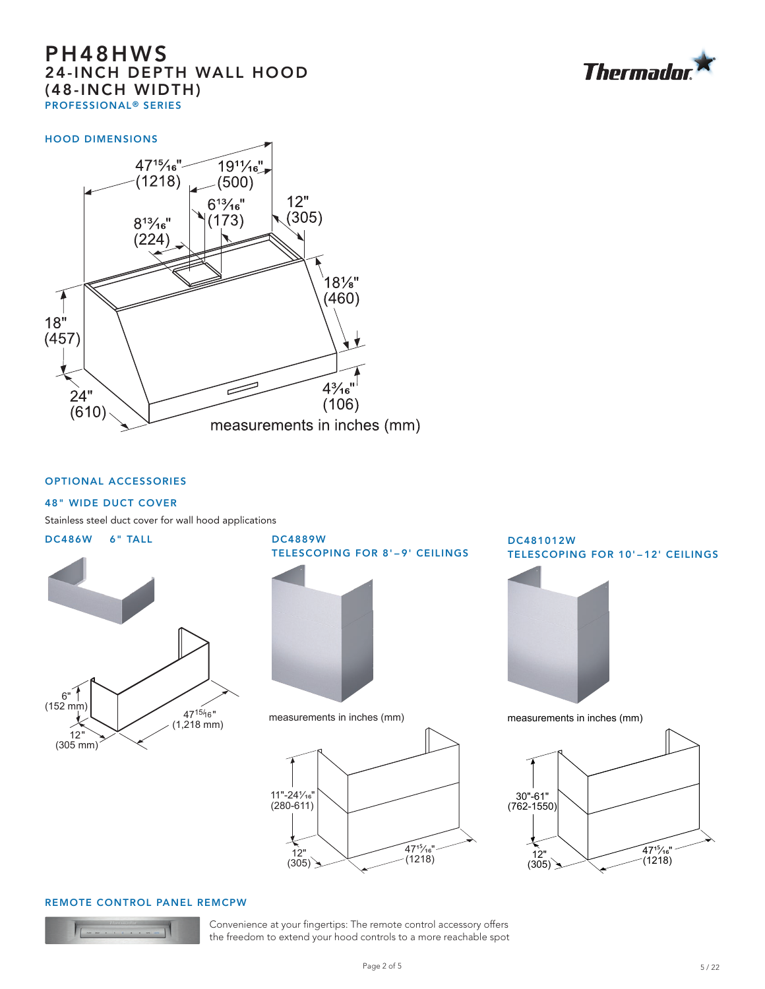

#### HOOD DIMENSIONS



## OPTIONAL ACCESSORIES

## 48" WIDE DUCT COVER

Stainless steel duct cover for wall hood applications





measurements in inches (mm)



DC481012W TELESCOPING FOR 10'–12' CEILINGS



measurements in inches (mm)



#### REMOTE CONTROL PANEL REMCPW



Convenience at your fingertips: The remote control accessory offers the freedom to extend your hood controls to a more reachable spot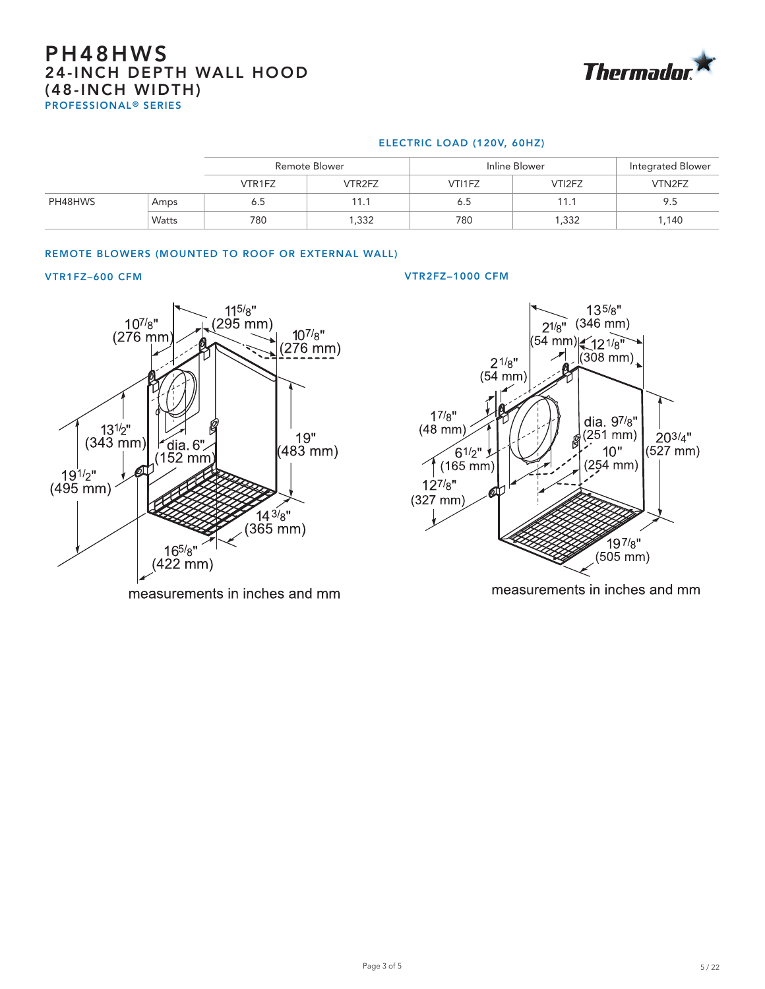

## ELECTRIC LOAD (120V, 60HZ)

|         |       | <b>Remote Blower</b> |        | Inline Blower |        | Integrated Blower |  |
|---------|-------|----------------------|--------|---------------|--------|-------------------|--|
|         |       | VTR1FZ               | VTR2FZ | VTI1FZ        | VTI2FZ | VTN2FZ            |  |
| PH48HWS | Amps  | 6.5                  | 11.1   | 6.5           | 11.1   | 9.5               |  |
|         | Watts | 780                  | ,332   | 780           | 1,332  | 1,140             |  |

# REMOTE BLOWERS (MOUNTED TO ROOF OR EXTERNAL WALL)



measurements in inches and mm

#### VTR1FZ–600 CFM VTR2FZ–1000 CFM



measurements in inches and mm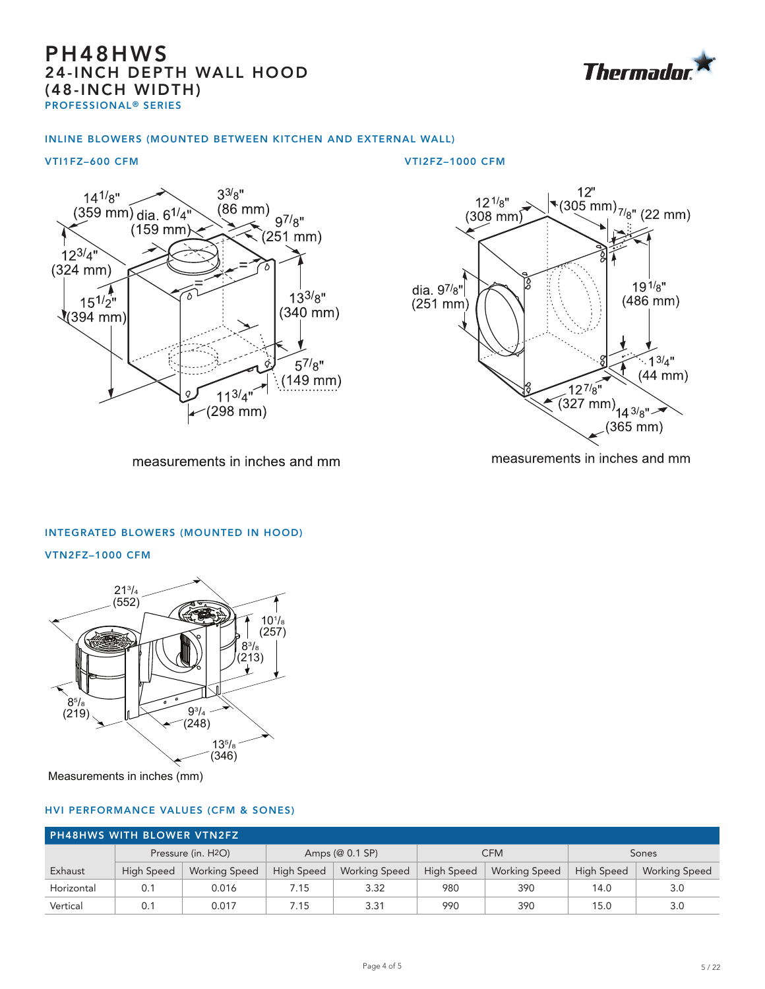

## INLINE BLOWERS (MOUNTED BETWEEN KITCHEN AND EXTERNAL WALL)

#### VTI1FZ–600 CFM VTI2FZ–1000 CFM



 $\begin{array}{r} 12^{\circ} \\ (305 \text{ mm})_{7/8}^{\circ} \\ (22 \text{ mm}) \end{array}$  $12^{1/g}$  $(308$  mm) dia  $9^{7/8"$  $19^{1/g''}$  $(486$  mm $)$  $(251$  mm)  $\cdot$  13/4"  $(44$  mm $)$  $\frac{12^{7}}{8^{10}}$  $(327 \text{ mm})$   $14 \frac{3}{8}$  $(365$  mm $)$ 

measurements in inches and mm

measurements in inches and mm

# INTEGRATED BLOWERS (MOUNTED IN HOOD)

VTN2FZ–1000 CFM



Measurements in inches (mm)

## HVI PERFORMANCE VALUES (CFM & SONES)

| <b>PH48HWS WITH BLOWER VTN2FZ</b> |                                 |                      |                   |                      |                   |                      |                   |                      |
|-----------------------------------|---------------------------------|----------------------|-------------------|----------------------|-------------------|----------------------|-------------------|----------------------|
|                                   | Pressure (in. H <sub>2O</sub> ) |                      | Amps (@ 0.1 SP)   |                      | <b>CFM</b>        |                      | Sones             |                      |
| Exhaust                           | <b>High Speed</b>               | <b>Working Speed</b> | <b>High Speed</b> | <b>Working Speed</b> | <b>High Speed</b> | <b>Working Speed</b> | <b>High Speed</b> | <b>Working Speed</b> |
| Horizontal                        | 0.1                             | 0.016                | 7.15              | 3.32                 | 980               | 390                  | 14.0              | 3.0                  |
| Vertical                          | 0.1                             | 0.017                | 7.15              | 3.31                 | 990               | 390                  | 15.0              | 3.0                  |